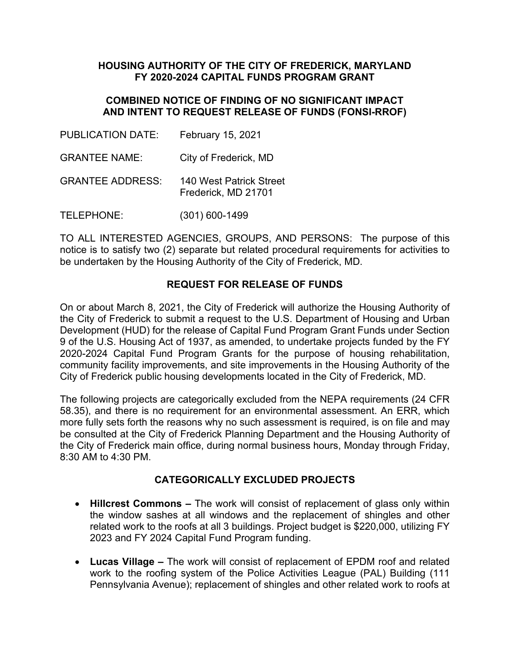### **HOUSING AUTHORITY OF THE CITY OF FREDERICK, MARYLAND FY 2020-2024 CAPITAL FUNDS PROGRAM GRANT**

### **COMBINED NOTICE OF FINDING OF NO SIGNIFICANT IMPACT AND INTENT TO REQUEST RELEASE OF FUNDS (FONSI-RROF)**

PUBLICATION DATE: February 15, 2021 GRANTEE NAME: City of Frederick, MD GRANTEE ADDRESS: 140 West Patrick Street Frederick, MD 21701 TELEPHONE: (301) 600-1499

TO ALL INTERESTED AGENCIES, GROUPS, AND PERSONS: The purpose of this notice is to satisfy two (2) separate but related procedural requirements for activities to be undertaken by the Housing Authority of the City of Frederick, MD.

# **REQUEST FOR RELEASE OF FUNDS**

On or about March 8, 2021, the City of Frederick will authorize the Housing Authority of the City of Frederick to submit a request to the U.S. Department of Housing and Urban Development (HUD) for the release of Capital Fund Program Grant Funds under Section 9 of the U.S. Housing Act of 1937, as amended, to undertake projects funded by the FY 2020-2024 Capital Fund Program Grants for the purpose of housing rehabilitation, community facility improvements, and site improvements in the Housing Authority of the City of Frederick public housing developments located in the City of Frederick, MD.

The following projects are categorically excluded from the NEPA requirements (24 CFR 58.35), and there is no requirement for an environmental assessment. An ERR, which more fully sets forth the reasons why no such assessment is required, is on file and may be consulted at the City of Frederick Planning Department and the Housing Authority of the City of Frederick main office, during normal business hours, Monday through Friday, 8:30 AM to 4:30 PM.

### **CATEGORICALLY EXCLUDED PROJECTS**

- **Hillcrest Commons –** The work will consist of replacement of glass only within the window sashes at all windows and the replacement of shingles and other related work to the roofs at all 3 buildings. Project budget is \$220,000, utilizing FY 2023 and FY 2024 Capital Fund Program funding.
- **Lucas Village –** The work will consist of replacement of EPDM roof and related work to the roofing system of the Police Activities League (PAL) Building (111 Pennsylvania Avenue); replacement of shingles and other related work to roofs at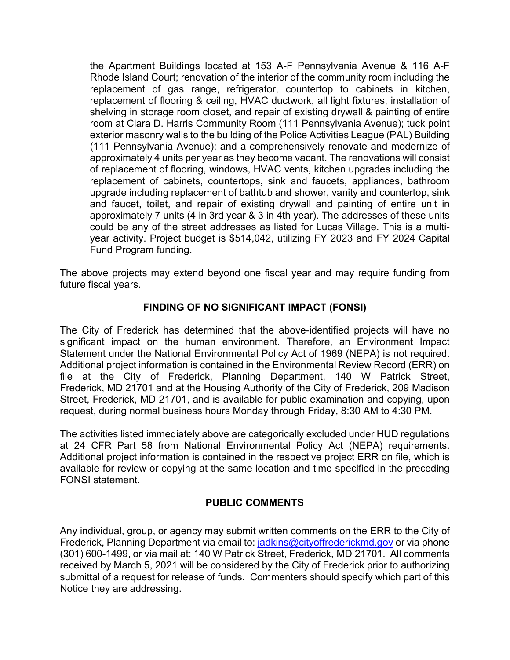the Apartment Buildings located at 153 A-F Pennsylvania Avenue & 116 A-F Rhode Island Court; renovation of the interior of the community room including the replacement of gas range, refrigerator, countertop to cabinets in kitchen, replacement of flooring & ceiling, HVAC ductwork, all light fixtures, installation of shelving in storage room closet, and repair of existing drywall & painting of entire room at Clara D. Harris Community Room (111 Pennsylvania Avenue); tuck point exterior masonry walls to the building of the Police Activities League (PAL) Building (111 Pennsylvania Avenue); and a comprehensively renovate and modernize of approximately 4 units per year as they become vacant. The renovations will consist of replacement of flooring, windows, HVAC vents, kitchen upgrades including the replacement of cabinets, countertops, sink and faucets, appliances, bathroom upgrade including replacement of bathtub and shower, vanity and countertop, sink and faucet, toilet, and repair of existing drywall and painting of entire unit in approximately 7 units (4 in 3rd year & 3 in 4th year). The addresses of these units could be any of the street addresses as listed for Lucas Village. This is a multiyear activity. Project budget is \$514,042, utilizing FY 2023 and FY 2024 Capital Fund Program funding.

The above projects may extend beyond one fiscal year and may require funding from future fiscal years.

### **FINDING OF NO SIGNIFICANT IMPACT (FONSI)**

The City of Frederick has determined that the above-identified projects will have no significant impact on the human environment. Therefore, an Environment Impact Statement under the National Environmental Policy Act of 1969 (NEPA) is not required. Additional project information is contained in the Environmental Review Record (ERR) on file at the City of Frederick, Planning Department, 140 W Patrick Street, Frederick, MD 21701 and at the Housing Authority of the City of Frederick, 209 Madison Street, Frederick, MD 21701, and is available for public examination and copying, upon request, during normal business hours Monday through Friday, 8:30 AM to 4:30 PM.

The activities listed immediately above are categorically excluded under HUD regulations at 24 CFR Part 58 from National Environmental Policy Act (NEPA) requirements. Additional project information is contained in the respective project ERR on file, which is available for review or copying at the same location and time specified in the preceding FONSI statement.

# **PUBLIC COMMENTS**

Any individual, group, or agency may submit written comments on the ERR to the City of Frederick, Planning Department via email to: [jadkins@cityoffrederickmd.gov](mailto:jadkins@cityoffrederickmd.gov) or via phone (301) 600-1499, or via mail at: 140 W Patrick Street, Frederick, MD 21701. All comments received by March 5, 2021 will be considered by the City of Frederick prior to authorizing submittal of a request for release of funds. Commenters should specify which part of this Notice they are addressing.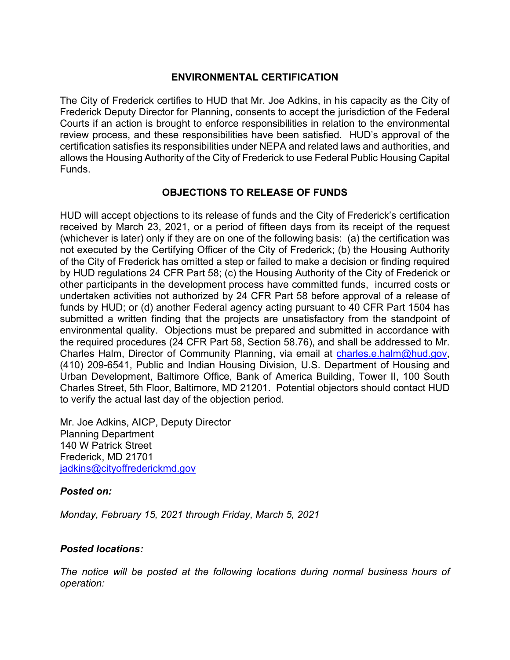### **ENVIRONMENTAL CERTIFICATION**

The City of Frederick certifies to HUD that Mr. Joe Adkins, in his capacity as the City of Frederick Deputy Director for Planning, consents to accept the jurisdiction of the Federal Courts if an action is brought to enforce responsibilities in relation to the environmental review process, and these responsibilities have been satisfied. HUD's approval of the certification satisfies its responsibilities under NEPA and related laws and authorities, and allows the Housing Authority of the City of Frederick to use Federal Public Housing Capital Funds.

### **OBJECTIONS TO RELEASE OF FUNDS**

HUD will accept objections to its release of funds and the City of Frederick's certification received by March 23, 2021, or a period of fifteen days from its receipt of the request (whichever is later) only if they are on one of the following basis: (a) the certification was not executed by the Certifying Officer of the City of Frederick; (b) the Housing Authority of the City of Frederick has omitted a step or failed to make a decision or finding required by HUD regulations 24 CFR Part 58; (c) the Housing Authority of the City of Frederick or other participants in the development process have committed funds, incurred costs or undertaken activities not authorized by 24 CFR Part 58 before approval of a release of funds by HUD; or (d) another Federal agency acting pursuant to 40 CFR Part 1504 has submitted a written finding that the projects are unsatisfactory from the standpoint of environmental quality. Objections must be prepared and submitted in accordance with the required procedures (24 CFR Part 58, Section 58.76), and shall be addressed to Mr. Charles Halm, Director of Community Planning, via email a[t charles.e.halm@hud.gov,](mailto:charles.e.halm@hud.gov) (410) 209-6541, Public and Indian Housing Division, U.S. Department of Housing and Urban Development, Baltimore Office, Bank of America Building, Tower II, 100 South Charles Street, 5th Floor, Baltimore, MD 21201. Potential objectors should contact HUD to verify the actual last day of the objection period.

Mr. Joe Adkins, AICP, Deputy Director Planning Department 140 W Patrick Street Frederick, MD 21701 [jadkins@cityoffrederickmd.gov](mailto:jadkins@cityoffrederickmd.gov)

### *Posted on:*

*Monday, February 15, 2021 through Friday, March 5, 2021*

### *Posted locations:*

*The notice will be posted at the following locations during normal business hours of operation:*